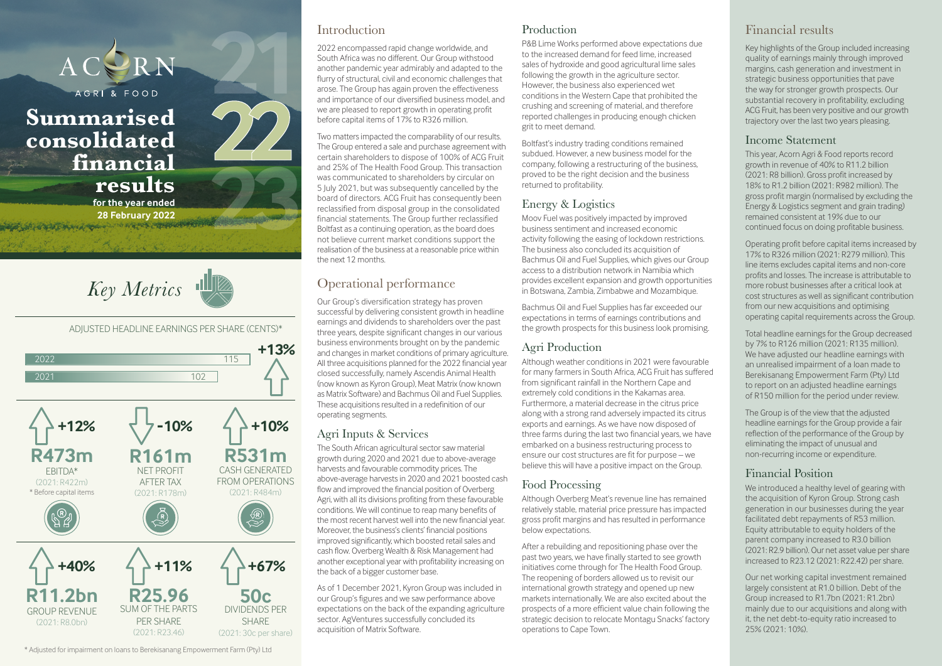

#### Introduction

2022 encompassed rapid change worldwide, and South Africa was no different. Our Group withstood another pandemic year admirably and adapted to the flurry of structural, civil and economic challenges that arose. The Group has again proven the effectiveness and importance of our diversified business model, and we are pleased to report growth in operating profit before capital items of 17% to R326 million.

Two matters impacted the comparability of our results. The Group entered a sale and purchase agreement with certain shareholders to dispose of 100% of ACG Fruit and 25% of The Health Food Group. This transaction was communicated to shareholders by circular on 5 July 2021, but was subsequently cancelled by the board of directors. ACG Fruit has consequently been reclassified from disposal group in the consolidated financial statements. The Group further reclassified Boltfast as a continuing operation, as the board does not believe current market conditions support the realisation of the business at a reasonable price within the next 12 months.

## Operational performance

Our Group's diversification strategy has proven successful by delivering consistent growth in headline earnings and dividends to shareholders over the past three years, despite significant changes in our various business environments brought on by the pandemic and changes in market conditions of primary agriculture. All three acquisitions planned for the 2022 financial year closed successfully, namely Ascendis Animal Health (now known as Kyron Group), Meat Matrix (now known as Matrix Software) and Bachmus Oil and Fuel Supplies. These acquisitions resulted in a redefinition of our operating segments.

## Agri Inputs & Services

The South African agricultural sector saw material growth during 2020 and 2021 due to above-average harvests and favourable commodity prices. The above-average harvests in 2020 and 2021 boosted cash flow and improved the financial position of Overberg Agri, with all its divisions profiting from these favourable conditions. We will continue to reap many benefits of the most recent harvest well into the new financial year. Moreover, the business's clients' financial positions improved significantly, which boosted retail sales and cash flow. Overberg Wealth & Risk Management had another exceptional year with profitability increasing on the back of a bigger customer base.

As of 1 December 2021, Kyron Group was included in our Group's figures and we saw performance above expectations on the back of the expanding agriculture sector. AgVentures successfully concluded its acquisition of Matrix Software.

#### Production

P&B Lime Works performed above expectations due to the increased demand for feed lime, increased sales of hydroxide and good agricultural lime sales following the growth in the agriculture sector. However, the business also experienced wet conditions in the Western Cape that prohibited the crushing and screening of material, and therefore reported challenges in producing enough chicken grit to meet demand.

Boltfast's industry trading conditions remained subdued. However, a new business model for the company, following a restructuring of the business, proved to be the right decision and the business returned to profitability.

## Energy & Logistics

Moov Fuel was positively impacted by improved business sentiment and increased economic activity following the easing of lockdown restrictions. The business also concluded its acquisition of Bachmus Oil and Fuel Supplies, which gives our Group access to a distribution network in Namibia which provides excellent expansion and growth opportunities in Botswana, Zambia, Zimbabwe and Mozambique.

Bachmus Oil and Fuel Supplies has far exceeded our expectations in terms of earnings contributions and the growth prospects for this business look promising.

## Agri Production

Although weather conditions in 2021 were favourable for many farmers in South Africa, ACG Fruit has suffered from significant rainfall in the Northern Cape and extremely cold conditions in the Kakamas area. Furthermore, a material decrease in the citrus price along with a strong rand adversely impacted its citrus exports and earnings. As we have now disposed of three farms during the last two financial years, we have embarked on a business restructuring process to ensure our cost structures are fit for purpose – we believe this will have a positive impact on the Group.

## Food Processing

Although Overberg Meat's revenue line has remained relatively stable, material price pressure has impacted gross profit margins and has resulted in performance below expectations.

After a rebuilding and repositioning phase over the past two years, we have finally started to see growth initiatives come through for The Health Food Group. The reopening of borders allowed us to revisit our international growth strategy and opened up new markets internationally. We are also excited about the prospects of a more efficient value chain following the strategic decision to relocate Montagu Snacks' factory operations to Cape Town.

## Financial results

Key highlights of the Group included increasing quality of earnings mainly through improved margins, cash generation and investment in strategic business opportunities that pave the way for stronger growth prospects. Our substantial recovery in profitability, excluding ACG Fruit, has been very positive and our growth trajectory over the last two years pleasing.

#### Income Statement

This year, Acorn Agri & Food reports record growth in revenue of 40% to R11.2 billion (2021: R8 billion). Gross profit increased by 18% to R1.2 billion (2021: R982 million). The gross profit margin (normalised by excluding the Energy & Logistics segment and grain trading) remained consistent at 19% due to our continued focus on doing profitable business.

Operating profit before capital items increased by 17% to R326 million (2021: R279 million). This line items excludes capital items and non-core profits and losses. The increase is attributable to more robust businesses after a critical look at cost structures as well as significant contribution from our new acquisitions and optimising operating capital requirements across the Group.

Total headline earnings for the Group decreased by 7% to R126 million (2021: R135 million). We have adjusted our headline earnings with an unrealised impairment of a loan made to Berekisanang Empowerment Farm (Pty) Ltd to report on an adjusted headline earnings of R150 million for the period under review.

The Group is of the view that the adjusted headline earnings for the Group provide a fair reflection of the performance of the Group by eliminating the impact of unusual and non-recurring income or expenditure.

## Financial Position

We introduced a healthy level of gearing with the acquisition of Kyron Group. Strong cash generation in our businesses during the year facilitated debt repayments of R53 million. Equity attributable to equity holders of the parent company increased to R3.0 billion (2021: R2.9 billion). Our net asset value per share increased to R23.12 (2021: R22.42) per share.

Our net working capital investment remained largely consistent at R1.0 billion. Debt of the Group increased to R1.7bn (2021: R1.2bn) mainly due to our acquisitions and along with it, the net debt-to-equity ratio increased to 25% (2021: 10%).

\* Adjusted for impairment on loans to Berekisanang Empowerment Farm (Pty) Ltd

(2021: R23.46)

(2021: 30c per share)